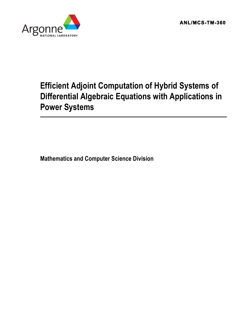**ANL/MCS-TM-360** 



# **Efficient Adjoint Computation of Hybrid Systems of Differential Algebraic Equations with Applications in Power Systems**

**Mathematics and Computer Science Division**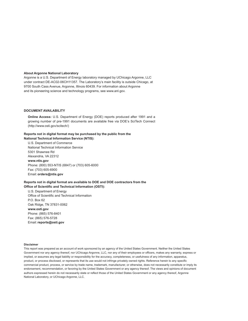#### **About Argonne National Laboratory**

Argonne is a U.S. Department of Energy laboratory managed by UChicago Argonne, LLC under contract DE-AC02-06CH11357. The Laboratory's main facility is outside Chicago, at 9700 South Cass Avenue, Argonne, Illinois 60439. For information about Argonne and its pioneering science and technology programs, see www.anl.gov.

#### **DOCUMENT AVAILABILITY**

**Online Access:** U.S. Department of Energy (DOE) reports produced after 1991 and a growing number of pre-1991 documents are available free via DOE's SciTech Connect (http://www.osti.gov/scitech/)

### **Reports not in digital format may be purchased by the public from the**

**National Technical Information Service (NTIS):** U.S. Department of Commerce National Technical Information Service 5301 Shawnee Rd Alexandria, VA 22312 **www.ntis.gov** Phone: (800) 553-NTIS (6847) or (703) 605-6000 Fax: (703) 605-6900 Email: **orders@ntis.gov**

#### **Reports not in digital format are available to DOE and DOE contractors from the Office of Scientific and Technical Information (OSTI):**

U.S. Department of Energy Office of Scientific and Technical Information P.O. Box 62 Oak Ridge, TN 37831-0062 **www.osti.gov** Phone: (865) 576-8401 Fax: (865) 576-5728 Email:**reports@osti.gov**

#### **Disclaimer**

This report was prepared as an account of work sponsored by an agency of the United States Government. Neither the United States Government nor any agency thereof, nor UChicago Argonne, LLC, nor any of their employees or officers, makes any warranty, express or implied, or assumes any legal liability or responsibility for the accuracy, completeness, or usefulness of any information, apparatus, product, or process disclosed, or represents that its use would not infringe privately owned rights. Reference herein to any specific commercial product, process, or service by trade name, trademark, manufacturer, or otherwise, does not necessarily constitute or imply its endorsement, recommendation, or favoring by the United States Government or any agency thereof. The views and opinions of document authors expressed herein do not necessarily state or reflect those of the United States Government or any agency thereof, Argonne National Laboratory, or UChicago Argonne, LLC.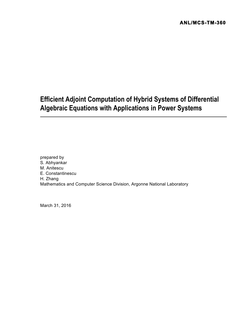# **Efficient Adjoint Computation of Hybrid Systems of Differential Algebraic Equations with Applications in Power Systems**

prepared by S. Abhyankar M. Anitescu E. Constantinescu H. Zhang Mathematics and Computer Science Division, Argonne National Laboratory

March 31, 2016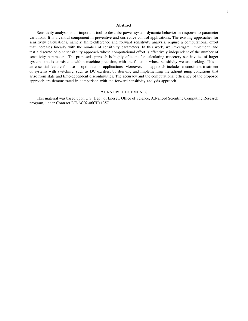#### Abstract

Sensitivity analysis is an important tool to describe power system dynamic behavior in response to parameter variations. It is a central component in preventive and corrective control applications. The existing approaches for sensitivity calculations, namely, finite-difference and forward sensitivity analysis, require a computational effort that increases linearly with the number of sensitivity parameters. In this work, we investigate, implement, and test a discrete adjoint sensitivity approach whose computational effort is effectively independent of the number of sensitivity parameters. The proposed approach is highly efficient for calculating trajectory sensitivities of larger systems and is consistent, within machine precision, with the function whose sensitivity we are seeking. This is an essential feature for use in optimization applications. Moreover, our approach includes a consistent treatment of systems with switching, such as DC exciters, by deriving and implementing the adjoint jump conditions that arise from state and time-dependent discontinuities. The accuracy and the computational efficiency of the proposed approach are demonstrated in comparison with the forward sensitivity analysis approach.

#### ACKNOWLEDGEMENTS

This material was based upon U.S. Dept. of Energy, Office of Science, Advanced Scientific Computing Research program, under Contract DE-AC02-06CH11357.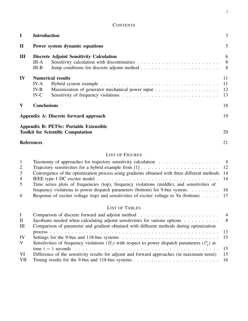| CONTENTS |  |
|----------|--|
|----------|--|

| $\mathbf I$  | <b>Introduction</b>      |                                                                                     | 3                   |
|--------------|--------------------------|-------------------------------------------------------------------------------------|---------------------|
| $\mathbf{I}$ |                          | Power system dynamic equations                                                      | 5                   |
| III          | III-A<br>$III-B$         | <b>Discrete Adjoint Sensitivity Calculation</b>                                     | 6<br>8 <sup>8</sup> |
| IV           | IV-A<br>$IV-B$<br>$IV-C$ | <b>Numerical results</b><br>Maximization of generator mechanical power input 12     | 11<br>-11<br>13     |
| V            | <b>Conclusions</b>       |                                                                                     | 18                  |
|              |                          | Appendix A: Discrete forward approach                                               | 19                  |
|              |                          | Appendix B: PETSc: Portable Extensible<br><b>Toolkit for Scientific Computation</b> | 20                  |
|              | <b>References</b>        |                                                                                     | 21                  |

## LIST OF FIGURES

| 1              |                                                                                                   |  |
|----------------|---------------------------------------------------------------------------------------------------|--|
| $\overline{2}$ |                                                                                                   |  |
| 3              | Convergence of the optimization process using gradients obtained with three different methods. 14 |  |
| 4              |                                                                                                   |  |
| 5              | Time series plots of frequencies (top), frequency violations (middle), and sensitivities of       |  |
|                | frequency violations to power dispatch parameters (bottom) for 9-bus system. 16                   |  |
| 6              |                                                                                                   |  |

## LIST OF TABLES

| L         |                                                                                                                                     |     |
|-----------|-------------------------------------------------------------------------------------------------------------------------------------|-----|
| $\rm{II}$ | Jacobians needed when calculating adjoint sensitivities for various options 8                                                       |     |
| Ш         | Comparison of parameter and gradient obtained with different methods during optimization                                            |     |
|           |                                                                                                                                     |     |
| IV        | Settings for the 9-bus and 118-bus systems $\ldots \ldots \ldots \ldots \ldots \ldots \ldots \ldots \ldots \ldots \ldots \ldots 15$ |     |
| V         | Sensitivities of frequency violations $(H_i)$ with respect to power dispatch parameters $(P_o)$ at                                  |     |
|           |                                                                                                                                     |     |
| <b>VI</b> | Difference of the sensitivity results for adjoint and forward approaches (in maximum norm)                                          | -15 |
| VII       |                                                                                                                                     |     |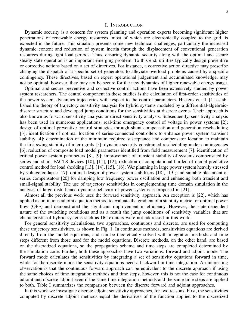#### I. INTRODUCTION

Dynamic security is a concern for system planning and operation experts becoming significant higher penetrations of renewable energy resources, most of which are electronically coupled to the grid, is expected in the future. This situation presents some new technical challenges, particularly the increased dynamic content and reduction of system inertia through the displacement of conventional generation resources during light load periods. Thus, ensuring dynamic security along with the optimal and secure steady state operation is an important emerging problem. To this end, utilities typically design preventive or corrective actions based on a set of directives. For instance, a corrective action directive may prescribe changing the dispatch of a specific set of generators to alleviate overload problems caused by a specific contingency. These directives, based on expert operational judgement and accumulated knowledge, may not be optimal, however, they may not be secure for the new dynamics of higher renewable energy usage.

Optimal and secure preventive and corrective control actions have been extensively studied by power system researchers. The central component in these studies is the calculation of first-order sensitivities of the power system dynamics trajectories with respect to the control parameters. Hiskens et. al. [1] established the theory of trajectory sensitivity analysis for hybrid systems modeled by a differential-algebraicdiscrete structure and developed jump conditions for the sensitivities at discrete events. Their approach is also known as forward sensitivity analysis or direct sensitivity analysis. Subsequently, sensitivity analysis has been used in numerous applications: real-time emergency control of voltage in power systems [2]; design of optimal preventive control strategies through shunt compensation and generation rescheduling [3]; identification of optimal location of series-connected controllers to enhance power system transient stability [4]; determination of the minimum required susceptance and compensator location to maintain the first swing stability of micro grids [5]; dynamic security constrained rescheduling under contingencies [6]; reduction of composite load model parameters identified from field measurement [7]; identification of critical power system parameters [8], [9]; improvement of transient stability of systems compensated by series and shunt FACTS devices [10], [11], [12]; reduction of computational burden of model predictive control method for load shedding [13], [14], [15], [16]; VAr planning in large power system heavily stressed by voltage collapse [17]; optimal design of power system stabilizers [18], [19]; and suitable placement of series compensators [20] for damping low frequency power oscillation and enhancing both transient and small-signal stability. The use of trajectory sensitivities in complementing time domain simulation in the analysis of large disturbance dynamic behavior of power systems is proposed in [21].

Almost all the previous work uses the forward sensitivity approach. An exception is [22], which has applied a continuous adjoint equation method to evaluate the gradient of a stability metric for optimal power flow (OPF) and demonstrated the significant improvement in efficiency. However, the state-dependent nature of the switching conditions and as a result the jump conditions of sensitivity variables that are characteristic of hybrid systems such as DC exciters were not addressed in this work.

For general sensitivity calculations, two approaches, continuous and discrete, are used for computing these trajectory sensitivities, as shown in Fig. 1. In continuous methods, sensitivities equations are derived directly from the model equations, and can be theoretically solved with integration methods and time steps different from those used for the model equations. Discrete methods, on the other hand, are based on the discretized equations, so the propagation scheme and time steps are completed determined by the simulation code. Further, both these approaches have two variations: forward and adjoint mode. The forward mode calculates the sensitivities by integrating a set of sensitivity equations forward in time, while for the discrete mode the sensitivity equations need a backward-in-time integration. An interesting observation is that the continuous forward approach can be equivalent to the discrete approach if using the same choices of time integration methods and time steps; however, this is not the case for continuous adjoint and discrete adjoint even if the same time integration methods and the same time steps are applied to both. Table I summarizes the comparison between the discrete forward and adjoint approaches.

In this work we investigate discrete adjoint sensitivity approaches, for two reasons. First, the sensitivities computed by discrete adjoint methods equal the derivatives of the function applied to the discretized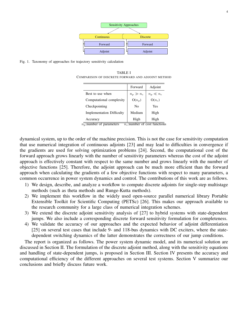

Fig. 1. Taxonomy of approaches for trajectory sensitivity calculation

TABLE I COMPARISON OF DISCRETE FORWARD AND ADJOINT METHOD

|                                  | Forward        | Adjoint       |
|----------------------------------|----------------|---------------|
| Best to use when                 | $n_p \gg n_c$  | $n_p \ll n_c$ |
| Computational complexity         | $O(n_p)$       | $O(n_c)$      |
| Checkpointing                    | N <sub>0</sub> | Yes           |
| <b>Implementation Difficulty</b> | Medium         | High          |
| Accuracy                         | High           | High          |

 $n_{\rm n}$ :number of parameters  $n_{\rm c}$ :number of cost functions

dynamical system, up to the order of the machine precision. This is not the case for sensitivity computation that use numerical integration of continuous adjoints [23] and may lead to difficulties in convergence if the gradients are used for solving optimization problems [24]. Second, the computational cost of the forward approach grows linearly with the number of sensitivity parameters whereas the cost of the adjoint approach is effectively constant with respect to the same number and grows linearly with the number of objective functions [25]. Therefore, the adjoint approach can be much more efficient than the forward approach when calculating the gradients of a few objective functions with respect to many parameters, a common occurrence in power system dynamics and control. The contributions of this work are as follows.

- 1) We design, describe, and analyze a workflow to compute discrete adjoints for single-step multistage methods (such as theta methods and Runge-Kutta methods).
- 2) We implement this workflow in the widely used open-source parallel numerical library Portable Extensible Toolkit for Scientific Computing (PETSc) [26]. This makes our approach available to the research community for a large class of numerical integration schemes.
- 3) We extend the discrete adjoint sensitivity analysis of [27] to hybrid systems with state-dependent jumps. We also include a corresponding discrete forward sensitivity formulation for completeness.
- 4) We validate the accuracy of our approaches and the expected behavior of adjoint differentiation [25] on several test cases that include 9- and 118-bus dynamics with DC exciters, where the statedependent switching dynamics of the latter demonstrates the correctness of our jump conditions.

The report is organized as follows. The power system dynamic model, and its numerical solution are discussed in Section II. The formulation of the discrete adjoint method, along with the sensitivity equations and handling of state-dependent jumps, is proposed in Section III. Section IV presents the accuracy and computational efficiency of the different approaches on several test systems. Section V summarize our conclusions and briefly discuss future work.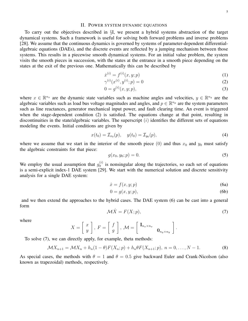#### II. POWER SYSTEM DYNAMIC EQUATIONS

To carry out the objectives described in §I, we present a hybrid systems abstraction of the target dynamical systems. Such a framework is useful for solving both forward problems and inverse problems [28]. We assume that the continuous dynamics is governed by systems of parameter-dependent differentialalgebraic equations (DAEs), and the discrete events are reflected by a jumping mechanism between those systems. This results in a piecewise smooth dynamical systems. For an initial value problem, the system visits the smooth pieces in succession, with the states at the entrance in a smooth piece depending on the states at the exit of the previous one. Mathematically this can be described by

$$
\dot{x}^{(i)} = f^{(i)}(x, y; p) \tag{1}
$$

$$
\gamma^{(i)}(x^{(i)}, y^{(i)}; p) = 0 \tag{2}
$$

$$
0 = g^{(i)}(x, y; p),
$$
\n(3)

where  $x \in \mathbb{R}^{n_x}$  are the dynamic state variables such as machine angles and velocities,  $y \in \mathbb{R}^{n_y}$  are the algebraic variables such as load bus voltage magnitudes and angles, and  $p \in \mathbb{R}^{n_p}$  are the system parameters such as line reactances, generator mechanical input power, and fault clearing time. An event is triggered when the stage-dependent condition (2) is satisfied. The equations change at that point, resulting in discontinuities in the state/algebraic variables. The superscript  $(i)$  identifies the different sets of equations modeling the events. Initial conditions are given by

$$
x(t_0) = \mathcal{I}_{x_0}(p), \quad y(t_0) = \mathcal{I}_{y_0}(p), \tag{4}
$$

where we assume that we start in the interior of the smooth piece  $(0)$  and thus  $x_0$  and  $y_0$  must satisfy the algebraic constraints for that piece:

$$
g(x_0, y_0; p) = 0.
$$
 (5)

We employ the usual assumption that  $g_y^{(i)}$  is nonsingular along the trajectories, so each set of equations is a semi-explicit index-1 DAE system [29]. We start with the numerical solution and discrete sensitivity analysis for a single DAE system:

$$
\dot{x} = f(x, y; p) \tag{6a}
$$

$$
0 = g(x, y; p),\tag{6b}
$$

and we then extend the approaches to the hybrid cases. The DAE system (6) can be cast into a general form

$$
\mathcal{M}\dot{X} = F(X;p),\tag{7}
$$

where

$$
X = \left[ \begin{array}{c} x \\ y \end{array} \right], F = \left[ \begin{array}{c} f \\ g \end{array} \right], \mathcal{M} = \left[ \begin{array}{cc} \mathbf{I}_{n_x \times n_x} & \\ & \mathbf{0}_{n_y \times n_y} \end{array} \right].
$$

To solve (7), we can directly apply, for example, theta methods:

$$
\mathcal{M}X_{n+1} = \mathcal{M}X_n + h_n(1-\theta)F(X_n; p) + h_n\theta F(X_{n+1}; p), \ n = 0, \dots, N-1.
$$
 (8)

As special cases, the methods with  $\theta = 1$  and  $\theta = 0.5$  give backward Euler and Crank-Nicolson (also known as trapezoidal) methods, respectively.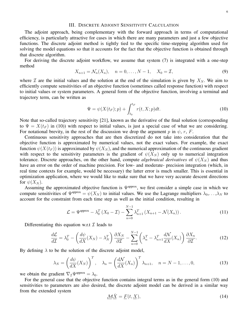#### III. DISCRETE ADJOINT SENSITIVITY CALCULATION

The adjoint approach, being complementary with the forward approach in terms of computational efficiency, is particularly attractive for cases in which there are many parameters and just a few objective functions. The discrete adjoint method is tightly tied to the specific time-stepping algorithm used for solving the model equations so that it accounts for the fact that the objective function is obtained through that discrete algorithm.

For deriving the discrete adjoint workflow, we assume that system (7) is integrated with a one-step method

$$
X_{n+1} = \mathcal{N}_n(X_n), \quad n = 0, \dots, N-1, \quad X_0 = \mathcal{I}, \tag{9}
$$

where  $\mathcal I$  are the initial values and the solution at the end of the simulation is given by  $X_N$ . We aim to efficiently compute sensitivities of an objective function (sometimes called response function) with respect to initial values or system parameters. A general form of the objective function, involving a terminal and trajectory term, can be written as

$$
\Psi = \psi(X(t_F); p) + \int_{t_0}^{t_F} r(t, X; p) dt.
$$
\n(10)

Note that so-called trajectory sensitivity [21], known as the derivative of the final solution (corresponding to  $\Psi = X(t_F)$  in (10)) with respect to initial values, is just a special case of what we are considering. For notational brevity, in the rest of the discussion we drop the argument p in  $\psi$ , r, F.

Continuous sensitivity approaches that are then discretized do not take into consideration that the objective function is approximated by numerical values, not the exact values. For example, the exact function  $\psi(X(t_F))$  is approximated by  $\psi(X_N)$ , and the numerical approximation of the continuous gradient with respect to the sensitivity parameters is the gradient of  $\psi(X_N)$  only up to numerical integration tolerance. Discrete approaches, on the other hand, compute *algebraical derivatives* of  $\psi(X_N)$  and thus have an error on the order of machine precision. For low- and moderate- precision integration (which, in real time contexts for example, would be necessary) the latter error is much smaller. This is essential in optimization application, where we would like to make sure that we have very accurate descent directions for  $\psi(X_N)$ .

Assuming the approximated objective function is  $\Psi^{\text{approx}}$ , we first consider a simple case in which we compute sensitivities of  $\Psi^{\text{approx}} = \psi(X_N)$  to initial values. We use the Lagrange multipliers  $\lambda_0, \ldots, \lambda_N$  to account for the constraint from each time step as well as the initial condition, resulting in

$$
\mathcal{L} = \Psi^{\text{approx}} - \lambda_0^T \left( X_0 - \mathcal{I} \right) - \sum_{n=0}^{N-1} \lambda_{n+1}^T \left( X_{n+1} - \mathcal{N}(X_n) \right). \tag{11}
$$

Differentiating this equation w.r.t  $\mathcal I$  leads to

$$
\frac{d\mathcal{L}}{d\mathcal{I}} = \lambda_0^T - \left(\frac{d\psi}{dX}(X_N) - \lambda_N^T\right)\frac{\partial X_N}{\partial \mathcal{I}} - \sum_{n=0}^{N-1} \left(\lambda_n^T - \lambda_{n+1}^T \frac{d\mathcal{N}}{dX}(X_n)\right)\frac{\partial X_n}{\partial \mathcal{I}}.\tag{12}
$$

By defining  $\lambda$  to be the solution of the discrete adjoint model,

$$
\lambda_N = \left(\frac{d\psi}{dX}(X_N)\right)^T, \quad \lambda_n = \left(\frac{d\mathcal{N}}{dX}(X_n)\right)^T \lambda_{n+1}, \quad n = N - 1, \dots, 0,
$$
\n(13)

we obtain the gradient  $\nabla_{\mathcal{I}} \Psi^{\text{approx}} = \lambda_0$ .

For the general case that the objective function contains integral terms as in the general form (10) and sensitivities to parameters are also desired, the discrete adjoint model can be derived in a similar way from the extended system

$$
\underline{\mathcal{M}}\dot{\underline{X}} = \underline{F}(t, \underline{X}),\tag{14}
$$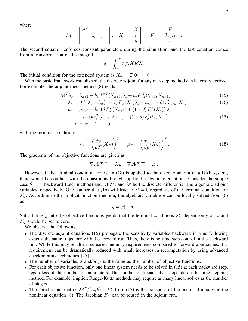where

$$
\underline{\mathcal{M}} = \begin{bmatrix} \mathcal{M} \\ \mathbf{I}_{n_p \times n_p} \\ 1 \end{bmatrix}, \quad \underline{X} = \begin{bmatrix} X \\ p \\ q \end{bmatrix}, \quad \underline{F} = \begin{bmatrix} F \\ \mathbf{0}_{n_p \times 1} \\ r \end{bmatrix}.
$$

The second equation enforces constant parameters during the simulation, and the last equation comes from a transformation of the integral

$$
q = \int_{t_0}^{t_F} r(t, X) dX.
$$

The initial condition for the extended system is  $\underline{X}_0 = [\mathcal{I} \ \mathbf{0}_{1 \times n_p} \ \mathbf{0}]^T$ .

With the basic framework established, the discrete adjoint for any one-step method can be easily derived. For example, the adjoint theta method (8) reads

$$
\mathcal{M}^T \lambda_s = \lambda_{n+1} + h_n \theta F_X^T(X_{n+1}) \lambda_s + h_n \theta r_X^T(t_{n+1}, X_{n+1}),
$$
\n(15)

$$
\lambda_n = \mathcal{M}^T \lambda_s + h_n (1 - \theta) F_X^T(X_n) \lambda_s + h_n (1 - \theta) r_X^T(t_n, X_n), \tag{16}
$$

$$
\mu_n = \mu_{n+1} + h_n \left( \theta F_p^T(X_{n+1}) + (1 - \theta) F_p^T(X_n) \right) \lambda_s + h_n \left( \theta r_n^T(t_{n+1}, X_{n+1}) + (1 - \theta) r_n^T(t_n, X_n) \right),
$$
\n(17)

$$
+h_n\left(\theta r_p^T(t_{n+1}, X_{n+1}) + (1-\theta) r_p^T(t_n, X_n)\right),
$$
  
\n
$$
n = N-1, ..., 0.
$$
\n(17)

with the terminal conditions

$$
\lambda_N = \left(\frac{d\psi}{dX}(X_N)\right)^T, \quad \mu_N = \left(\frac{d\psi}{dp}(X_N)\right)^T.
$$
\n(18)

The gradients of the objective functions are given as

$$
\nabla_{\mathcal{I}} \Psi^{\text{approx}} = \lambda_0, \quad \nabla_p \Psi^{\text{approx}} = \mu_0.
$$

However, if the terminal condition for  $\lambda_N$  in (18) is applied to the discrete adjoint of a DAE system, there would be conflicts with the constraints brought up by the algebraic equations. Consider the simple case  $\theta = 1$  (backward Euler method) and let  $\lambda^x$ , and  $\lambda^y$  be the discrete differential and algebraic adjoint variables, respectively. One can see that (16) will lead to  $\lambda^y = 0$  regardless of the terminal condition for  $\lambda_N^y$ . According to the implicit function theorem, the algebraic variable y can be locally solved from (6) as

$$
y = \varphi(x; p).
$$

Substituting y into the objective functions yields that the terminal conditions  $\lambda_N^x$  depend only on x and  $\lambda_N^y$  should be set to zero.

We observe the following.

- The discrete adjoint equations (15) propagate the sensitivity variables backward in time following exactly the same trajectory with the forward run. Thus, there is no time step control in the backward run. While this may result in increased memory requirements compared to forward approaches, that requirement can be dramatically reduced with small increases in recomputation by using advanced checkpointing techniques [25].
- The number of variables  $\lambda$  and/or  $\mu$  is the same as the number of objective functions.
- For each objective function, only one linear system needs to be solved in (15) at each backward step, regardless of the number of parameters. The number of linear solves depends on the time-stepping method. For example, implicit Runge-Kutta methods may require as many linear solves as the number of stages.
- The "prediction" matrix  $\mathcal{M}^T/(h_n \theta) F_X^T$  from (15) is the transpose of the one used in solving the nonlinear equation (8). The Jacobian  $F_X$  can be reused in the adjoint run.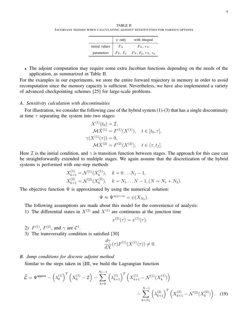TABLE II JACOBIANS NEEDED WHEN CALCULATING ADJOINT SENSITIVITIES FOR VARIOUS OPTIONS

|                | $\psi$ only      | with integral                   |
|----------------|------------------|---------------------------------|
| initial values | $F_{\mathbf{Y}}$ | $F_X, r_X$                      |
| parameters     |                  | $F_X, F_p$ $F_X, F_p, r_X, r_p$ |

• The adjoint computation may require some extra Jacobian functions depending on the needs of the application, as summarized in Table II.

For the examples in our experiments, we store the entire forward trajectory in memory in order to avoid recomputation since the memory capacity is sufficient. Nevertheless, we have also implemented a variety of advanced checkpointing schemes [25] for large-scale problems.

## *A. Sensitivity calculation with discontinuities*

For illustration, we consider the following case of the hybrid system (1)-(3) that has a single discontinuity at time  $\tau$  separating the system into two stages:

$$
X^{(1)}(t_0) = \mathcal{I},
$$
  
\n
$$
\mathcal{M}\dot{X}^{(1)} = F^{(1)}(X^{(1)}), \quad t \in [t_0, \tau],
$$
  
\n
$$
\gamma(X^{(1)}(\tau)) = 0,
$$
  
\n
$$
\mathcal{M}\dot{X}^{(2)} = F^{(2)}(X^{(2)}), \quad t \in (\tau, t_f].
$$

Here I is the initial condition, and  $\gamma$  is transition function between stages. The approach for this case can be straightforwardly extended to multiple stages. We again assume that the discretization of the hybrid systems is performed with one-step methods

$$
X_{k+1}^{(1)} = \mathcal{N}^{(1)}(X_k^{(1)}), \quad k = 0 \dots N_1 - 1,
$$
  
\n
$$
X_{k+1}^{(2)} = \mathcal{N}^{(2)}(X_k^{(2)}), \quad k = N_1 \dots N - 1, (N = N_1 + N_2).
$$

The objective function  $\Psi$  is approximated by using the numerical solution:

$$
\Psi \approx \Psi^{\text{approx}} = \psi(X_{N_2}).
$$

The following assumptions are made about this model for the convenience of analysis:

1) The differential states in  $X^{(2)}$  and  $X^{(1)}$  are continuous at the junction time

$$
x^{(2)}(\tau) = x^{(1)}(\tau).
$$

- 2)  $F^{(1)}$ ,  $F^{(2)}$ , and  $\gamma$  are  $C^1$ .
- 3) The transversality condition is satisfied [30]

$$
\frac{d\gamma}{dX}(\tau)F^{(1)}(X^{(1)}(\tau)) \neq 0.
$$

### *B. Jump conditions for discrete adjoint method*

Similar to the steps taken in §III, we build the Lagrangian function

$$
\hat{\mathcal{L}} = \Psi^{\text{approx}} - \left(\lambda_0^{(1)}\right)^T \left(X_0^{(1)} - \mathcal{I}\right) - \sum_{k=0}^{N_1 - 1} \left(\lambda_{k+1}^{(1)}\right)^T \left(X_{k+1}^{(1)} - \mathcal{N}^{(1)}(X_k^{(1)})\right) - \sum_{k=N_1}^{N-1} \left(\lambda_{k+1}^{(2)}\right)^T \left(X_{k+1}^{(2)} - \mathcal{N}^{(2)}(X_k^{(2)})\right). \tag{19}
$$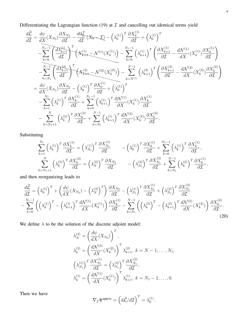Differentiating the Lagrangian function (19) at  $\mathcal I$  and cancelling out identical terms yield

$$
\frac{d\hat{\mathcal{L}}}{d\mathcal{I}} = \frac{d\psi}{dX}(X_{N_2})\frac{\partial X_{N_2}}{\partial \mathcal{I}} - \frac{d\lambda_0^T}{d\mathcal{I}}(X_0 - \mathcal{I}) - (\lambda_0^{(1)})^T \frac{\partial X_0^{(1)}}{\partial \mathcal{I}} + (\lambda_0^{(1)})^T \n- \sum_{k=0}^{N_1-1} \left( \frac{d\lambda_{k+1}^{(1)}}{d\mathcal{I}} \right)^T \left( X_{k+1}^{(1)} - \mathcal{N}^{(1)}(X_k^{(1)}) \right) - \sum_{k=0}^{N_1-1} (\lambda_{k+1}^{(1)})^T \left( \frac{\partial X_{k+1}^{(1)}}{\partial \mathcal{I}} - \frac{d\mathcal{N}^{(1)}}{dX}(X_k^{(1)}) \frac{\partial X_k^{(1)}}{\partial \mathcal{I}} \right) \n- \sum_{k=N_1}^{N-1} \left( \frac{d\lambda_{k+1}^{(2)}}{d\mathcal{I}} \right)^T \left( X_{k+1}^{(2)} - \mathcal{N}^{(2)}(X_k^{(2)}) \right) - \sum_{k=N_1}^{N-1} (\lambda_{k+1}^{(2)})^T \left( \frac{\partial X_{k+1}^{(2)}}{\partial \mathcal{I}} - \frac{d\mathcal{N}^{(2)}}{dX}(X_k^{(2)}) \frac{\partial X_k^{(2)}}{\partial \mathcal{I}} \right) \n= \frac{d\psi}{dX}(X_{N_2})\frac{\partial X_{N_2}}{\partial \mathcal{I}} - (\lambda_0^{(1)})^T \frac{\partial X_0^{(1)}}{\partial \mathcal{I}} + (\lambda_0^{(1)})^T \n- \sum_{k=1}^{N_1} (\lambda_k^{(1)})^T \frac{\partial X_k^{(1)}}{\partial \mathcal{I}} + \sum_{k=0}^{N_1-1} (\lambda_{k+1}^{(1)})^T \frac{\partial \mathcal{N}^{(1)}}{\partial X}(X_k^{(1)}) \frac{\partial X_k^{(1)}}{\partial \mathcal{I}} \n- \sum_{k=N_1+1}^{N} (\lambda_k^{(2)})^T \frac{\partial X_k^{(2)}}{\partial \mathcal{I}} + \sum_{k=N_1}^{N-1} (\lambda_{k+1}^{(1)})^T \frac{d\math
$$

Substituting

$$
\sum_{k=1}^{N_1} \left(\lambda_k^{(1)}\right)^T \frac{\partial X_k^{(1)}}{\partial \mathcal{I}} = \left(\lambda_{N_1}^{(1)}\right)^T \frac{\partial X_{N_1}^{(1)}}{\partial \mathcal{I}} \qquad -\left(\lambda_0^{(1)}\right)^T \frac{\partial X_0^{(1)}}{\partial \mathcal{I}} + \sum_{k=0}^{N_1-1} \left(\lambda_k^{(1)}\right)^T \frac{\partial X_k^{(1)}}{\partial \mathcal{I}},
$$
\n
$$
\sum_{k=N_1+1}^N \left(\lambda_k^{(2)}\right)^T \frac{\partial X_k^{(2)}}{\partial \mathcal{I}} = \left(\lambda_N^{(2)}\right)^T \frac{\partial X_{N_2}}{\partial \mathcal{I}} \qquad -\left(\lambda_{N_1}^{(2)}\right)^T \frac{\partial X_{N_1}^{(2)}}{\partial \mathcal{I}} + \sum_{k=N_1}^{N-1} \left(\lambda_k^{(2)}\right)^T \frac{\partial X_k^{(1)}}{\partial \mathcal{I}},
$$

and then reorganizing leads to

$$
\frac{d\widehat{\mathcal{L}}}{d\mathcal{I}} = \left(\lambda_0^{(1)}\right)^T + \left(\frac{d\psi}{dX}(X_{N_2}) - \left(\lambda_N^{(2)}\right)^T\right)\frac{\partial X_{N_2}}{\partial\mathcal{I}} - \left(\lambda_{N_1}^{(1)}\right)^T\frac{\partial X_{N_1}^{(1)}}{\partial\mathcal{I}} + \left(\lambda_{N_1}^{(2)}\right)^T\frac{\partial X_{N_1}^{(2)}}{\partial\mathcal{I}} - \sum_{k=0}^{N_1-1} \left(\left(\lambda_k^{(1)}\right)^T - \left(\lambda_{k+1}^{(1)}\right)^T\frac{d\mathcal{N}^{(1)}}{dX}(X_k^{(1)})\right)\frac{\partial X_k^{(1)}}{\partial\mathcal{I}} - \sum_{k=N_1}^{N-1} \left(\left(\lambda_k^{(2)}\right)^T - \left(\lambda_{k+1}^{(2)}\right)^T\frac{d\mathcal{N}^{(2)}}{dX}(X_k^{(2)})\right)\frac{\partial X_k^{(2)}}{\partial\mathcal{I}}.
$$
\n(20)

We define  $\lambda$  to be the solution of the discrete adjoint model:

$$
\lambda_N^{(2)} = \left(\frac{d\psi}{dX}(X_{N_2})\right)^T,
$$
\n
$$
\lambda_k^{(2)} = \left(\frac{d\mathcal{N}^{(2)}}{dX}(X_k^{(2)})\right)^T \lambda_{k+1}^{(2)}, \ k = N - 1, \dots, N_1,
$$
\n
$$
\left(\lambda_{N_1}^{(1)}\right)^T \frac{\partial X_{N_1}^{(1)}}{\partial \mathcal{I}} = \left(\lambda_{N_1}^{(2)}\right)^T \frac{\partial X_{N_1}^{(2)}}{\partial \mathcal{I}},
$$
\n
$$
\lambda_k^{(1)} = \left(\frac{d\mathcal{N}^{(1)}}{dX}(X_k^{(1)})\right)^T \lambda_{k+1}^{(1)}, \ k = N_1 - 1, \dots, 0.
$$

Then we have

$$
\nabla_{\mathcal{I}} \Psi^{\text{approx}} = \left( d\widehat{\mathcal{L}}/d\mathcal{I} \right)^T = \lambda_0^{(1)}.
$$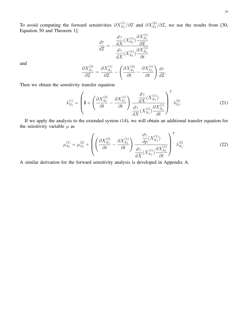To avoid computing the forward sensitivities  $\partial X_{N_1}^{(1)}/\partial \mathcal{I}$  and  $\partial X_{N_1}^{(2)}/\partial \mathcal{I}$ , we use the results from [30, Equation 50 and Theorem 1]:  $\Omega$   $\mathbf{v}^{(1)}$ 

$$
\frac{d\tau}{d\mathcal{I}} = -\frac{\frac{d\gamma}{dX}(X_{N_1}^{(1)})\frac{\partial X_{N_1}^{(1)}}{\partial \mathcal{I}}}{\frac{d\gamma}{dX}(X_{N_1}^{(1)})\frac{\partial X_{N_1}^{(1)}}{\partial t}}
$$

and

$$
\frac{\partial X_{N_1}^{(2)}}{\partial \mathcal{I}} = \frac{\partial X_{N_1}^{(1)}}{\partial \mathcal{I}} - \left(\frac{\partial X_{N_1}^{(2)}}{\partial t} - \frac{\partial X_{N_1}^{(1)}}{\partial t}\right) \frac{d\tau}{d\mathcal{I}}.
$$

Then we obtain the sensitivity transfer equation

$$
\lambda_{N_1}^{(1)} = \left( \mathbf{I} + \left( \frac{\partial X_{N_1}^{(2)}}{\partial t} - \frac{\partial X_{N_1}^{(1)}}{\partial t} \right) \frac{\frac{d\gamma}{dX} (X_{N_1}^{(1)})}{\frac{d\gamma}{dX} (X_{N_1}^{(1)})} \right)^T \lambda_{N_1}^{(2)}.
$$
\n(21)

If we apply the analysis to the extended system (14), we will obtain an additional transfer equation for the sensitivity variable  $\mu$  as

$$
\mu_{N_1}^{(1)} = \mu_{N_1}^{(2)} + \left( \left( \frac{\partial X_{N_1}^{(2)}}{\partial t} - \frac{\partial X_{N_1}^{(1)}}{\partial t} \right) \frac{\frac{d\gamma}{dp} (X_{N_1}^{(1)})}{\frac{d\gamma}{dX} (X_{N_1}^{(1)})} \right)^T \lambda_{N_1}^{(2)}.
$$
\n(22)

A similar derivation for the forward sensitivity analysis is developed in Appendix A.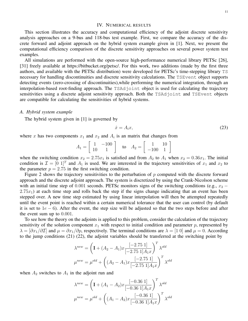#### IV. NUMERICAL RESULTS

This section illustrates the accuracy and computational efficiency of the adjoint discrete sensitivity analysis approaches on a 9-bus and 118-bus test example. First, we compare the accuracy of the discrete forward and adjoint approach on the hybrid system example given in [1]. Next, we present the computational efficiency comparison of the discrete sensitivity approaches on several power system test examples.

All simulations are performed with the open-source high-performance numerical library PETSc [26], [31] freely available at https://bitbucket.org/petsc/. For this work, two additions (made by the first three authors, and available with the PETSc distribution) were developed for PETSc's time-stepping library TS necessary for handling discontinuities and discrete sensitivity calculations. The TSEvent object supports detecting events (zero-crossing of discontinuities),while performing the numerical integration, through an interpolation-based root-finding approach. The TSAdjoint object is used for calculating the trajectory sensitivities using a discrete adjoint sensitivity approach. Both the TSAdjoint and TSEvent objects are compatible for calculating the sensitivities of hybrid systems.

#### *A. Hybrid system example*

The hybrid system given in [1] is governed by

$$
\dot{x} = A_i x,\tag{23}
$$

where x has two components  $x_1$  and  $x_2$  and  $A_i$  is an matrix that changes from

$$
A_1 = \begin{bmatrix} 1 & -100 \\ 10 & 1 \end{bmatrix} \text{ to } A_2 = \begin{bmatrix} 1 & 10 \\ -100 & 1 \end{bmatrix}
$$

when the switching condition  $x_2 = 2.75x_1$  is satisfied and from  $A_2$  to  $A_1$  when  $x_2 = 0.36x_1$ . The initial condition is  $\mathcal{I} = [0 \; 1]^T$  and  $A_1$  is used. We are interested in the trajectory sensitivities of  $x_1$  and  $x_2$  to the parameter  $p = 2.75$  in the first switching condition.

Figure 2 shows the trajectory sensitivities to the perturbation of  $p$  computed with the discrete forward approach and the discrete adjoint approach. The system is discretized by using the Crank-Nicolson scheme with an initial time step of 0.001 seconds. PETSc monitors signs of the switching conditions (e.g.,  $x_2$  −  $2.75x_1$ ) at each time step and rolls back the step if the signs change indicating that an event has been stepped over. A new time step estimated by using linear interpolation will then be attempted repeatedly until the event point is reached within a certain numerical tolerance that the user can control (by default it is set to  $1e - 6$ ). After the event, the step size will be adjusted so that the two steps before and after the event sum up to 0.001.

To see how the theory on the adjoints is applied to this problem, consider the calculation of the trajectory sensitivity of the solution component  $x_1$  with respect to initial condition and parameter p, represented by  $\lambda = [\partial x_1/\partial \mathcal{I}]$  and  $\mu = \partial x_1/\partial p$ , respectively. The terminal conditions are  $\lambda = [1 \ 0]$  and  $\mu = 0$ . According to the jump conditions (21) (22), the adjoint variables should be transferred at the switching point by

$$
\lambda^{new} = \left(\mathbf{I} + (A_2 - A_1)x \frac{[-2.75 \ 1]}{[-2.75 \ 1]A_1x}\right)^T \lambda^{old}
$$

$$
\mu^{new} = \mu^{old} + \left((A_2 - A_1)x \frac{[-2.75 \ 1]}{[-2.75 \ 1]A_1x}\right)^T \lambda^{old}
$$

when  $A_2$  switches to  $A_1$  in the adjoint run and

$$
\lambda^{new} = \left(\mathbf{I} + (A_1 - A_2)x \frac{[-0.36 \, 1]}{[-0.36 \, 1]A_1x}\right)^T \lambda^{old}
$$

$$
\mu^{new} = \mu^{old} + \left((A_1 - A_2)x \frac{[-0.36 \, 1]}{[-0.36 \, 1]A_1x}\right)^T \lambda^{old}
$$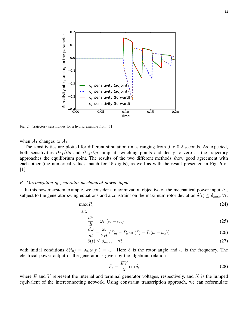

Fig. 2. Trajectory sensitivities for a hybrid example from [1]

when  $A_1$  changes to  $A_2$ .

The sensitivities are plotted for different simulation times ranging from 0 to 0.2 seconds. As expected, both sensitivities  $\partial x_1/\partial p$  and  $\partial x_2/\partial p$  jump at switching points and decay to zero as the trajectory approaches the equilibrium point. The results of the two different methods show good agreement with each other (the numerical values match for 15 digits), as well as with the result presented in Fig. 6 of [1].

## *B. Maximization of generator mechanical power input*

In this power system example, we consider a maximization objective of the mechanical power input  $P_m$ subject to the generator swing equations and a constraint on the maximum rotor deviation  $\delta(t) \leq \delta_{max}$ ,  $\forall t$ :

$$
\max P_m \tag{24}
$$

s.t.

$$
\frac{d\delta}{dt} = \omega_B \left(\omega - \omega_s\right) \tag{25}
$$

$$
\frac{d\omega}{dt} = \frac{\omega_s}{2H} \left( P_m - P_e \sin(\delta) - D(\omega - \omega_s) \right) \tag{26}
$$

$$
\delta(t) \le \delta_{max}, \quad \forall t \tag{27}
$$

with initial conditions  $\delta(t_0) = \delta_0$ ,  $\omega(t_0) = \omega_0$ . Here  $\delta$  is the rotor angle and  $\omega$  is the frequency. The electrical power output of the generator is given by the algebraic relation

$$
P_e = \frac{EV}{X} \sin \delta,\tag{28}
$$

where  $E$  and  $V$  represent the internal and terminal generator voltages, respectively, and  $X$  is the lumped equivalent of the interconnecting network. Using constraint transcription approach, we can reformulate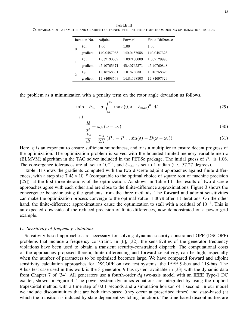TABLE III COMPARISON OF PARAMETER AND GRADIENT OBTAINED WITH DIFFERENT METHODS DURING OPTIMIZATION PROCESS

|   | Iteration No. | Adjoint     | Forward     | Finite Difference |
|---|---------------|-------------|-------------|-------------------|
| 0 | $P_m$         | $1.06\,$    | 1.06        | 1.06              |
|   | gradient      | 140.0487958 | 140.0487958 | 140.0487323       |
|   | $P_m$         | 1.032130009 | 1.032130009 | 1.032129996       |
|   | gradient      | 45.40765371 | 45.40765371 | 45.40760848       |
| 2 | $P_m$         | 1.018758331 | 1.018758331 | 1.018758323       |
|   | gradient      | 14.84698503 | 14.84698503 | 14.84697329       |

the problem as a minimization with a penalty term on the rotor angle deviation as follows.

$$
\min -P_m + \sigma \int_{t_0}^{t_F} \max (0, \delta - \delta_{max})^{\eta} dt
$$
\n(29)

s.t.

$$
\frac{d\delta}{dt} = \omega_B \left(\omega - \omega_s\right) \tag{30}
$$

$$
\frac{d\omega}{dt} = \frac{\omega_s}{2H} \left( P_m - P_{max} \sin(\delta) - D(\omega - \omega_s) \right) \tag{31}
$$

Here,  $\eta$  is an exponent to ensure sufficient smoothness, and  $\sigma$  is a multiplier to ensure decent progress of the optimization. The optimization problem is solved with the bounded limited-memory variable-metric (BLMVM) algorithm in the TAO solver included in the PETSc package. The initial guess of  $P_m$  is 1.06. The convergence tolerances are all set to  $10^{-14}$ , and  $\delta_{max}$  is set to 1 radian (i.e., 57.27 degrees).

Table III shows the gradients computed with the two discrete adjoint approaches against finite differences, with a step size  $7.45 \times 10^{-9}$  (comparable to the optimal choice of square root of machine precision [25]), at the first three iterations of the optimization. As shown in Table III, the results of two discrete approaches agree with each other and are close to the finite-difference approximations. Figure 3 shows the convergence behavior using the gradients from the three methods. The forward and adjoint sensitivities can make the optimization process converge to the optimal value 1.0079 after 13 iterations. On the other hand, the finite-difference approximations cause the optimization to stall with a residual of 10<sup>-6</sup>. This is an expected downside of the reduced precision of finite differences, now demonstrated on a power grid example.

## *C. Sensitivity of frequency violations*

Sensitivity-based approaches are necessary for solving dynamic security-constrained OPF (DSCOPF) problems that include a frequency constraint. In [6], [32], the sensitivities of the generator frequency violations have been used to obtain a transient security-constrained dispatch. The computational costs of the approaches proposed therein, finite-differencing and forward sensitivity, can be high, especially when the number of parameters to be optimized becomes large. We have compared forward and adjoint sensitivity calculation approaches for DSCOPF on two test systems: the IEEE 9-bus and 118-bus. The 9-bus test case used in this work is the 3-generator, 9-bus system available in [33] with the dynamic data from Chapter 7 of [34]. All generators use a fourth-order *dq* two-axis model with an IEEE Type-1 DC exciter, shown in Figure 4. The power system dynamics equations are integrated by using the implicit trapezoidal method with a time step of 0.01 seconds and a simulation horizon of 1 second. In our model we include discontinuities that are both time-based (they occur at prescribed times) and state-based (at which the transition is induced by state-dependent switching function). The time-based discontinuities are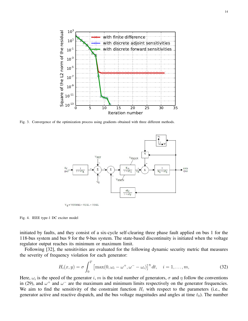

Fig. 3. Convergence of the optimization process using gradients obtained with three different methods.



 $V_S$  = VOTHSG + VUEL + VOEL

Fig. 4. IEEE type-1 DC exciter model

initiated by faults, and they consist of a six-cycle self-clearing three phase fault applied on bus 1 for the 118-bus system and bus 9 for the 9-bus system. The state-based discontinuity is initiated when the voltage regulator output reaches its minimum or maximum limit.

Following [32], the sensitivities are evaluated for the following dynamic security metric that measures the severity of frequency violation for each generator:

$$
H_i(x,y) = \sigma \int_0^T \left[ \max(0, \omega_i - \omega^+, \omega^- - \omega_i) \right]^{\eta} dt, \quad i = 1, \dots, m,
$$
 (32)

Here,  $\omega_i$  is the speed of the generator i, m is the total number of generators,  $\sigma$  and  $\eta$  follow the conventions in (29), and  $\omega^+$  and  $\omega^-$  are the maximum and minimum limits respectively on the generator frequencies. We aim to find the sensitivity of the constraint function  $H_i$  with respect to the parameters (i.e., the generator active and reactive dispatch, and the bus voltage magnitudes and angles at time  $t_0$ ). The number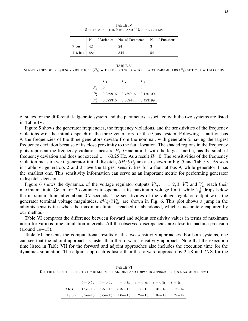TABLE IV SETTINGS FOR THE 9-BUS AND 118-BUS SYSTEMS

|                 |    | No. of Variables No. of Parameters No. of Functions |    |
|-----------------|----|-----------------------------------------------------|----|
| 9 bus           | 42 | 9.4                                                 |    |
| 118 bus   $884$ |    | 344                                                 | 54 |

#### TABLE V

SENSITIVITIES OF FREQUENCY VIOLATIONS  $(H_i)$  with respect to power dispatch parameters  $(P_q)$  at time  $t = 1$  seconds

|         | $H_1$ | $H_2$                                    | $H_3$    |
|---------|-------|------------------------------------------|----------|
| $P_q^1$ |       | $\mathbf{0}$                             |          |
| $P_q^2$ |       | $0.059915 \quad 0.739715 \quad 0.170100$ |          |
| $P_a^3$ |       | 0.022315  0.062444                       | 0.423199 |

of states for the differential-algebraic system and the parameters associated with the two systems are listed in Table IV.

Figure 5 shows the generator frequencies, the frequency violations, and the sensitivities of the frequency violations w.r.t the initial dispatch of the three generators for the 9-bus system. Following a fault on bus 9, the frequencies of the three generators deviate from the nominal, with generator 2 having the largest frequency deviation because of its close proximity to the fault location. The shaded regions in the frequency plots represent the frequency violation measure  $H_i$ . Generator 1, with the largest inertia, has the smallest frequency deviation and does not exceed  $\omega^+$ =60.25 Hz. As a result  $H_1$ =0. The sensitivities of the frequency violation measure w.r.t. generator initial dispatch,  $\partial H/\partial P_q$  are also shown in Fig. 5 and Table V. As seen in Table V, generators 2 and 3 have the largest sensitivities for a fault at bus 9, while generator 1 has the smallest one. This sensitivity information can serve as an important metric for performing generator redispatch decisions.

Figure 6 shows the dynamics of the voltage regulator outputs  $V_R^i$ ,  $i = 1, 2, 3$ .  $V_R^2$  and  $V_R^3$  reach their maximum limit. Generator 2 continues to operate at its maximum voltage limit, while  $V_R^3$  drops below the maximum limit after about 0.7 seconds. The sensitivities of the voltage regulator output w.r.t. the generator terminal voltage magnitudes,  $\partial V_R^i/\partial V_m^i$ , are shown in Fig. 6. This plot shows a jump in the adjoints sensitivities when the maximum limit is reached or abandoned, which is accurately captured by our method.

Table VI compares the difference between forward and adjoint sensitivity values in terms of maximum norm for various time simulation intervals. All the observed discrepancies are close to machine precision (around 1e−15).

Table VII presents the computational results of the two sensitivity approaches. For both systems, one can see that the adjoint approach is faster than the forward sensitivity approach. Note that the execution time listed in Table VII for the forward and adjoint approaches also includes the execution time for the dynamics simulation. The adjoint approach is faster than the forward approach by 2.4X and 7.7X for the

 $t = 0.5s$   $t = 0.6s$   $t = 0.7s$   $t = 0.8s$   $t = 0.9s$   $t = 1s$ 9 bus 1.9e−16 3.3e−16 8.3e−16 1.1e−15 1.3e−15 1.7e−15 118 bus 3.9e−16 5.6e−15 1.0e−15 1.2e−15 1.0e−15 1.2e−15

TABLE VI DIFFERENCE OF THE SENSITIVITY RESULTS FOR ADJOINT AND FORWARD APPROACHES (IN MAXIMUM NORM)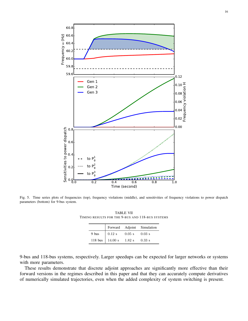

Fig. 5. Time series plots of frequencies (top), frequency violations (middle), and sensitivities of frequency violations to power dispatch parameters (bottom) for 9-bus system.

TABLE VII TIMING RESULTS FOR THE 9-BUS AND 118-BUS SYSTEMS

|       |                                                                |                         | Forward Adjoint Simulation |
|-------|----------------------------------------------------------------|-------------------------|----------------------------|
| 9 bus | $\vert 0.12 \mathrm{s} \vert$                                  | $0.05 \text{ s}$ 0.03 s |                            |
|       | 118 bus $\begin{array}{ l} 14.00 \text{ s} \end{array}$ 1.82 s |                         | $0.33$ s                   |

9-bus and 118-bus systems, respectively. Larger speedups can be expected for larger networks or systems with more parameters.

These results demonstrate that discrete adjoint approaches are significantly more effective than their forward versions in the regimes described in this paper and that they can accurately compute derivatives of numerically simulated trajectories, even when the added complexity of system switching is present.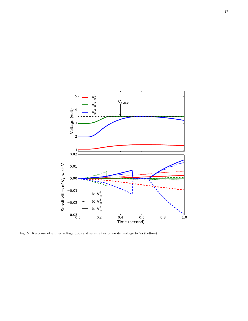

Fig. 6. Response of exciter voltage (top) and sensitivities of exciter voltage to Va (bottom)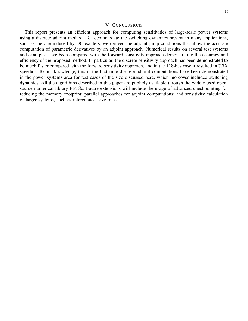#### 18

### V. CONCLUSIONS

This report presents an efficient approach for computing sensitivities of large-scale power systems using a discrete adjoint method. To accommodate the switching dynamics present in many applications, such as the one induced by DC exciters, we derived the adjoint jump conditions that allow the accurate computation of parametric derivatives by an adjoint approach. Numerical results on several test systems and examples have been compared with the forward sensitivity approach demonstrating the accuracy and efficiency of the proposed method. In particular, the discrete sensitivity approach has been demonstrated to be much faster compared with the forward sensitivity approach, and in the 118-bus case it resulted in 7.7X speedup. To our knowledge, this is the first time discrete adjoint computations have been demonstrated in the power systems area for test cases of the size discussed here, which moreover included switching dynamics. All the algorithms described in this paper are publicly available through the widely used opensource numerical library PETSc. Future extensions will include the usage of advanced checkpointing for reducing the memory footprint; parallel approaches for adjoint computations; and sensitivity calculation of larger systems, such as interconnect-size ones.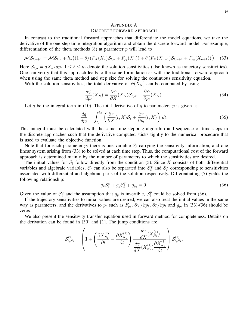## APPENDIX A DISCRETE FORWARD APPROACH

In contrast to the traditional forward approaches that differentiate the model equations, we take the derivative of the one-step time integration algorithm and obtain the discrete forward model. For example, differentiation of the theta methods  $(8)$  at parameter p will lead to

$$
\mathcal{MS}_{\ell,n+1} = \mathcal{MS}_{\ell,n} + h_n((1-\theta)\left(F_X(X_n)\mathcal{S}_{\ell,n} + F_{p_\ell}(X_n)\right) + \theta\left(F_X(X_{n+1})\mathcal{S}_{\ell,n+1} + F_{p_\ell}(X_{n+1})\right)).
$$
 (33)

Here  $S_{\ell,n} = dX_n/dp_\ell, 1 \leq \ell \leq m$  denote the solution sensitivities (also known as trajectory sensitivities). One can verify that this approach leads to the same formulation as with the traditional forward approach when using the same theta method and step size for solving the continuous sensitivity equation.

With the solution sensitivities, the total derivative of  $\psi(X_N)$  can be computed by using

$$
\frac{d\psi}{dp_{\ell}}(X_N) = \frac{\partial\psi}{\partial X}(X_N)\mathcal{S}_{\ell,N} + \frac{\partial\psi}{\partial p_{\ell}}(X_N).
$$
\n(34)

Let q be the integral term in (10). The total derivative of q to parameters  $p$  is given as

$$
\frac{dq}{dp_{\ell}} = \int_{t_0}^{t_F} \left( \frac{\partial r}{\partial X}(t, X) \mathcal{S}_{\ell} + \frac{\partial r}{\partial p_{\ell}}(t, X) \right) dt.
$$
\n(35)

This integral must be calculated with the same time-stepping algorithm and sequence of time steps in the discrete approaches such that the derivative computed sticks tightly to the numerical procedure that is used to evaluate the objective function.

Note that for each parameter  $p_\ell$  there is one variable  $S_\ell$  carrying the sensitivity information, and one linear system arising from (33) to be solved at each time step. Thus, the computational cost of the forward approach is determined mainly by the number of parameters to which the sensitivities are desired.

The initial values for  $S_\ell$  follow directly from the condition (5). Since X consists of both differential variables and algebraic variables,  $S_\ell$  can also be separated into  $S_\ell^x$  and  $S_\ell^y$  $\ell$ <sup>y</sup> corresponding to sensitivities associated with differential and algebraic parts of the solution respectively. Differentiating (5) yields the following relationship:

$$
g_x \mathcal{S}_\ell^x + g_y \mathcal{S}_\ell^y + g_{p_\ell} = 0. \tag{36}
$$

.

Given the value of  $S_\ell^x$  and the assumption that  $g_y$  is invertible,  $S_\ell^y$  $\ell$  could be solved from (36).

If the trajectory sensitivities to initial values are desired, we can also treat the initial values in the same way as parameters, and the derivatives to  $p_\ell$  such as  $F_{p_\ell}$ ,  $\partial \psi/\partial p_\ell$ ,  $\partial r/\partial p_\ell$  and  $g_{p_\ell}$  in (33)-(36) should be zeros.

We also present the sensitivity transfer equation used in forward method for completeness. Details on the derivation can be found in [30] and [1]. The jump conditions are

$$
\mathcal{S}^{(2)}_{\ell, N_1} = \left(\mathbf{I} + \left(\frac{\partial X^{(2)}_{N_1}}{\partial t} - \frac{\partial X^{(1)}_{N_1}}{\partial t}\right)\frac{\dfrac{d\gamma}{dX}(X^{(1)}_{N_1})}{\dfrac{d\gamma}{dX}(X^{(1)}_{N_1})}\right)\mathcal{S}^{(1)}_{\ell, N_1}
$$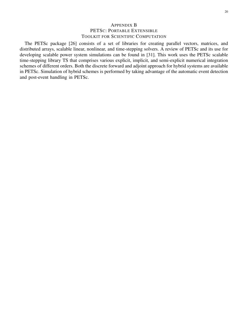## APPENDIX B PETSC: PORTABLE EXTENSIBLE TOOLKIT FOR SCIENTIFIC COMPUTATION

The PETSc package [26] consists of a set of libraries for creating parallel vectors, matrices, and distributed arrays, scalable linear, nonlinear, and time-stepping solvers. A review of PETSc and its use for developing scalable power system simulations can be found in [31]. This work uses the PETSc scalable time-stepping library TS that comprises various explicit, implicit, and semi-explicit numerical integration schemes of different orders. Both the discrete forward and adjoint approach for hybrid systems are available in PETSc. Simulation of hybrid schemes is performed by taking advantage of the automatic event detection and post-event handling in PETSc.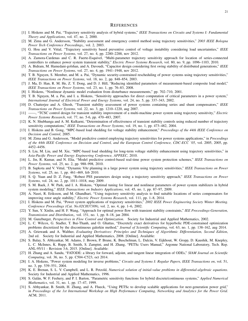#### **REFERENCES**

- [1] I. Hiskens and M. Pai, "Trajectory sensitivity analysis of hybrid systems," *IEEE Transactions on Circuits and Systems I: Fundamental Theory and Applications*, vol. 47, no. 2, 2000.
- [2] M. Zima and G. Andersson, "Stability assessment and emergency control method using trajectory sensitivities," *2003 IEEE Bologna Power Tech Conference Proceedings,*, vol. 2, 2003.
- [3] G. Hou and V. Vittal, "Trajectory sensitivity based preventive control of voltage instability considering load uncertainties," *IEEE Transactions on Power Systems*, vol. 27, no. 4, pp. 2280–2288, nov 2012.
- [4] A. Zamora-Cardenas and C. R. Fuerte-Esquivel, "Multi-parameter trajectory sensitivity approach for location of series-connected controllers to enhance power system transient stability," *Electric Power Systems Research*, vol. 80, no. 9, pp. 1096–1103, 2010.
- [5] A. Bidram, M. Hamedani-golshan, and A. Davoudi, "Capacitor design considering first swing stability of distributed generations," *IEEE Transactions on Power Systems*, vol. 27, no. 4, pp. 1941–1948, nov 2012.
- [6] T. B. Nguyen, S. Member, and M. a. Pai, "Dynamic security-constrained rescheduling of power systems using trajectory sensitivities," *IEEE Transactions on Power Systems*, vol. 18, no. 2, pp. 848–854, 2003.
- [7] J. Ma, D. Han, R. M. He, Z. Y. Dong, and D. J. Hill, "Reducing identified parameters of measurement-based composite load model," *IEEE Transactions on Power Systems*, vol. 23, no. 1, pp. 76–83, 2008.
- [8] I. Hiskens, "Nonlinear dynamic model evaluation from disturbance measurements," pp. 702–710, 2001.
- [9] T. B. Nguyen, M. a. Pai, and I. a. Hiskens, "Sensitivity approaches for direct computation of critical parameters in a power system," *International Journal of Electrical Power and Energy Systems*, vol. 24, no. 5, pp. 337–343, 2002.
- [10] D. Chatterjee and A. Ghosh, "Transient stability assessment of power systems containing series and shunt compensators," *IEEE Transactions on Power Systems*, vol. 22, no. 3, pp. 1210–1220, aug 2007.
- [11] ——, "TCSC control design for transient stability improvement of a multi-machine power system using trajectory sensitivity," *Electric Power Systems Research*, vol. 77, no. 5-6, pp. 470–483, 2007.
- [12] K. N. Shubhanga and A. M. Kulkarni, "Determination of effectiveness of transient stability controls using reduced number of trajectory sensitivity computations," *IEEE Transactions on Power Systems*, vol. 19, no. 1, pp. 473–482, 2004.
- [13] I. Hiskens and B. Gong, "MPC-based load shedding for voltage stability enhancement," *Proceedings of the 44th IEEE Conference on Decision and Control*, 2005.
- [14] M. Zima and G. Andersson, "Model predictive control employing trajectory sensitivities for power systems applications," in *Proceedings of the 44th IEEE Conference on Decision and Control, and the European Control Conference, CDC-ECC '05*, vol. 2005, 2005, pp. 4452–4456.
- [15] S. Liu, M. Liu, and M. Xie, "MPC-based load shedding for long-term voltage stability enhancement using trajectory sensitivities," in *Asia-Pacific Power and Energy Engineering Conference, APPEEC*, 2010.
- [16] L. Jin, R. Kumar, and N. Elia, "Model predictive control-based real-time power system protection schemes," *IEEE Transactions on Power Systems*, vol. 25, no. 2, pp. 988–998, 2010.
- [17] B. Sapkota and V. Vittal, "Dynamic VAr planning in a large power system using trajectory sensitivities," *IEEE Transactions on Power Systems*, vol. 25, no. 1, pp. 461–469, feb 2010.
- [18] S. Q. Yuan and D. Z. Fang, "Robust PSS parameters design using a trajectory sensitivity approach," *IEEE Transactions on Power Systems*, vol. 24, no. 2, pp. 1011–1018, may 2009.
- [19] S. M. Baek, J. W. Park, and I. A. Hiskens, "Optimal tuning for linear and nonlinear parameters of power system stabilizers in hybrid system modeling," *IEEE Transactions on Industry Applications*, vol. 45, no. 1, pp. 87–97, 2009.
- [20] A. Nasri, R. Eriksson, and M. Ghandhari, "Using trajectory sensitivity analysis to find suitable locations of series compensators for improving rotor angle stability," *Electric Power Systems Research*, vol. 111, pp. 1–8, 2014.
- [21] I. Hiskens and M. Pai, "Power system applications of trajectory sensitivities," *2002 IEEE Power Engineering Society Winter Meeting. Conference Proceedings (Cat. No.02CH37309)*, vol. 2, no. 4, pp. 1–6, 2002.
- [22] Y. Sun, Y. Xinlin, and H. F. Wang, "Approach for optimal power flow with transient stability constraints," *IEE Proceedings-Generation, Transmission and Distribution,*, vol. 151, no. 1, pp. 8–18, jan 2004.
- [23] M. Gunzburger, *Perspectives in Flow Control and Optimization*. Society for Industrial and Applied Mathematics, 2002.
- [24] L. C. Wilcox, G. Stadler, T. Bui-Thanh, and O. Ghattas, "Discretely exact derivatives for hyperbolic PDE-constrained optimization problems discretized by the discontinuous galerkin method," *Journal of Scientific Computing*, vol. 63, no. 1, pp. 138–162, aug 2014.
- [25] A. Griewank and A. Walther, *Evaluating Derivatives: Principles and Techniques of Algorithmic Differentiation, Second Edition*, 2nd ed. Society for Industrial and Applied Mathematics, 2008. [Online]. Available:
- [26] S. Balay, S. Abhyankar, M. Adams, J. Brown, P. Brune, K. Buschelman, L. Dalcin, V. Eijkhout, W. Gropp, D. Kaushik, M. Knepley, L. C. McInnes, K. Rupp, B. Smith, S. Zampini, and H. Zhang, "PETSc Users Manual," Argonne National Laboratory, Tech. Rep. ANL-95/11 - Revision 3.6, 2015. [Online]. Available:
- [27] H. Zhang and A. Sandu, "FATODE: a library for forward, adjoint, and tangent linear integration of ODEs," *SIAM Journal on Scientific Computing*, vol. 36, no. 5, pp. C504–C523, oct 2014.
- [28] I. A. Hiskens, "Power system modeling for inverse problems," *Circuits and Systems I: Regular Papers, IEEE Transactions on*, vol. 51, no. 3, pp. 539–551, 2004.
- [29] K. E. Brenan, S. L. V. Campbell, and L. R. Petzold, *Numerical solution of initial-value problems in differential-algebraic equations*. Society for Industrial and Applied Mathematics, 1996.
- [30] S. Galan, W. F. Feehery, and P. I. Barton, "Parametric sensitivity functions for hybrid discrete/continuous systems," ´ *Applied Numerical Mathematics*, vol. 31, no. 1, pp. 17–47, 1999.
- [31] S. Abhyankar, B. Smith, H. Zhang, and A. Flueck, "Using PETSc to develop scalable applications for next-generation power grid," in *Proceedings of the 1st International Workshop on High Performance Computing, Networking and Analytics for the Power Grid*. ACM, 2011.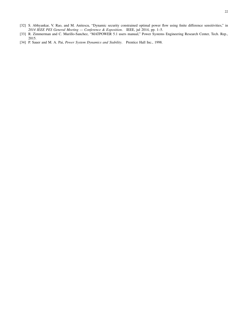- [32] S. Abhyankar, V. Rao, and M. Anitescu, "Dynamic security constrained optimal power flow using finite difference sensitivities," in *2014 IEEE PES General Meeting — Conference & Exposition*. IEEE, jul 2014, pp. 1–5.
- [33] R. Zimmerman and C. Murillo-Sanchez, "MATPOWER 5.1 users manual," Power Systems Engineering Research Center, Tech. Rep., 2015.
- [34] P. Sauer and M. A. Pai, *Power System Dynamics and Stability*. Prentice Hall Inc., 1998.